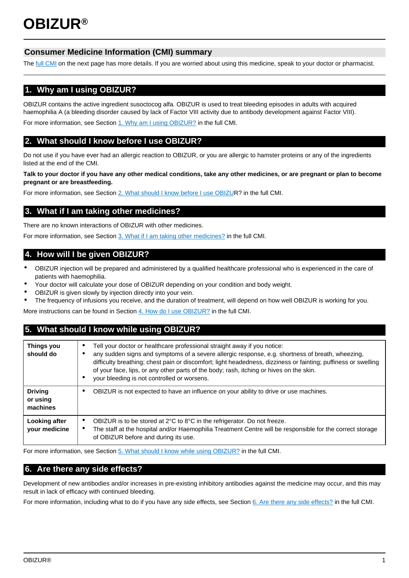# **Consumer Medicine Information (CMI) summary**

The [full CMI](#page-1-0) on the next page has more details. If you are worried about using this medicine, speak to your doctor or pharmacist.

# **1. Why am I using OBIZUR?**

OBIZUR contains the active ingredient susoctocog alfa. OBIZUR is used to treat bleeding episodes in adults with acquired haemophilia A (a bleeding disorder caused by lack of Factor VIII activity due to antibody development against Factor VIII).

For more information, see Section [1. Why am I using OBIZUR?](#page-1-1) in the full CMI.

# **2. What should I know before I use OBIZUR?**

Do not use if you have ever had an allergic reaction to OBIZUR, or you are allergic to hamster proteins or any of the ingredients listed at the end of the CMI.

#### **Talk to your doctor if you have any other medical conditions, take any other medicines, or are pregnant or plan to become pregnant or are breastfeeding.**

For more information, see Section [2. What should I know before I use OBIZUR](#page-1-2)? in the full CMI.

## **3. What if I am taking other medicines?**

There are no known interactions of OBIZUR with other medicines.

For more information, see Section [3. What if I am taking other medicines?](#page-1-3) in the full CMI.

## **4. How will I be given OBIZUR?**

- OBIZUR injection will be prepared and administered by a qualified healthcare professional who is experienced in the care of patients with haemophilia.
- Your doctor will calculate your dose of OBIZUR depending on your condition and body weight.
- OBIZUR is given slowly by injection directly into your vein.
- The frequency of infusions you receive, and the duration of treatment, will depend on how well OBIZUR is working for you.

More instructions can be found in Section [4. How do I use OBIZUR?](#page-1-4) in the full CMI.

# **5. What should I know while using OBIZUR?**

| <b>Things you</b><br>should do         | Tell your doctor or healthcare professional straight away if you notice:<br>any sudden signs and symptoms of a severe allergic response, e.g. shortness of breath, wheezing,<br>difficulty breathing; chest pain or discomfort; light headedness, dizziness or fainting; puffiness or swelling<br>of your face, lips, or any other parts of the body; rash, itching or hives on the skin.<br>your bleeding is not controlled or worsens.<br>٠ |
|----------------------------------------|-----------------------------------------------------------------------------------------------------------------------------------------------------------------------------------------------------------------------------------------------------------------------------------------------------------------------------------------------------------------------------------------------------------------------------------------------|
| <b>Driving</b><br>or using<br>machines | OBIZUR is not expected to have an influence on your ability to drive or use machines.                                                                                                                                                                                                                                                                                                                                                         |
| Looking after<br>your medicine         | OBIZUR is to be stored at $2^{\circ}$ C to $8^{\circ}$ C in the refrigerator. Do not freeze.<br>٠<br>The staff at the hospital and/or Haemophilia Treatment Centre will be responsible for the correct storage<br>٠<br>of OBIZUR before and during its use.                                                                                                                                                                                   |

For more information, see Section [5. What should I know while using OBIZUR?](#page-2-0) in the full CMI.

# **6. Are there any side effects?**

Development of new antibodies and/or increases in pre-existing inhibitory antibodies against the medicine may occur, and this may result in lack of efficacy with continued bleeding.

For more information, including what to do if you have any side effects, see Section [6. Are there any side effects?](#page-2-1) in the full CMI.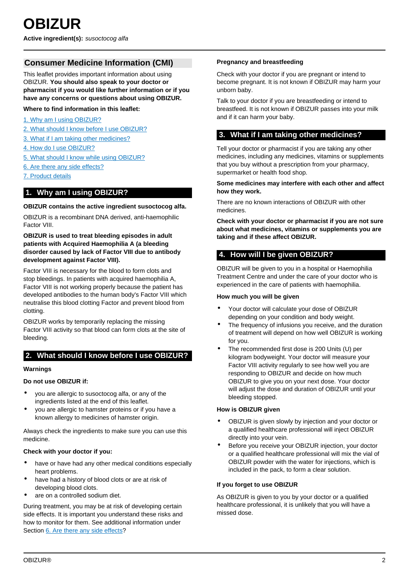## <span id="page-1-0"></span>**Consumer Medicine Information (CMI)**

This leaflet provides important information about using OBIZUR. **You should also speak to your doctor or pharmacist if you would like further information or if you have any concerns or questions about using OBIZUR.**

#### **Where to find information in this leaflet:**

- [1. Why am I using OBIZUR?](#page-1-1)
- [2. What should I know before I use OBIZUR?](#page-1-2)
- [3. What if I am taking other medicines?](#page-1-3)
- [4. How do I use OBIZUR?](#page-1-4)
- [5. What should I know while using OBIZUR?](#page-2-0)
- [6. Are there any side effects?](#page-2-1)
- [7. Product details](#page-2-2)

## <span id="page-1-1"></span>**1. Why am I using OBIZUR?**

#### **OBIZUR contains the active ingredient susoctocog alfa.**

OBIZUR is a recombinant DNA derived, anti-haemophilic Factor VIII.

#### **OBIZUR is used to treat bleeding episodes in adult patients with Acquired Haemophilia A (a bleeding disorder caused by lack of Factor VIII due to antibody development against Factor VIII).**

Factor VIII is necessary for the blood to form clots and stop bleedings. In patients with acquired haemophilia A, Factor VIII is not working properly because the patient has developed antibodies to the human body's Factor VIII which neutralise this blood clotting Factor and prevent blood from clotting.

OBIZUR works by temporarily replacing the missing Factor VIII activity so that blood can form clots at the site of bleeding.

## <span id="page-1-2"></span>**2. What should I know before I use OBIZUR?**

#### **Warnings**

#### **Do not use OBIZUR if:**

- you are allergic to susoctocog alfa, or any of the ingredients listed at the end of this leaflet.
- you are allergic to hamster proteins or if you have a known allergy to medicines of hamster origin.

Always check the ingredients to make sure you can use this medicine.

#### **Check with your doctor if you:**

- have or have had any other medical conditions especially heart problems.
- have had a history of blood clots or are at risk of developing blood clots.
- are on a controlled sodium diet.

During treatment, you may be at risk of developing certain side effects. It is important you understand these risks and how to monitor for them. See additional information under Section [6. Are there any side effects?](#page-2-1)

#### **Pregnancy and breastfeeding**

Check with your doctor if you are pregnant or intend to become pregnant. It is not known if OBIZUR may harm your unborn baby.

Talk to your doctor if you are breastfeeding or intend to breastfeed. It is not known if OBIZUR passes into your milk and if it can harm your baby.

## <span id="page-1-3"></span>**3. What if I am taking other medicines?**

Tell your doctor or pharmacist if you are taking any other medicines, including any medicines, vitamins or supplements that you buy without a prescription from your pharmacy, supermarket or health food shop.

#### **Some medicines may interfere with each other and affect how they work.**

There are no known interactions of OBIZUR with other medicines.

**Check with your doctor or pharmacist if you are not sure about what medicines, vitamins or supplements you are taking and if these affect OBIZUR.**

## <span id="page-1-4"></span>**4. How will I be given OBIZUR?**

OBIZUR will be given to you in a hospital or Haemophilia Treatment Centre and under the care of your doctor who is experienced in the care of patients with haemophilia.

#### **How much you will be given**

- Your doctor will calculate your dose of OBIZUR depending on your condition and body weight.
- The frequency of infusions you receive, and the duration of treatment will depend on how well OBIZUR is working for you.
- The recommended first dose is 200 Units (U) per kilogram bodyweight. Your doctor will measure your Factor VIII activity regularly to see how well you are responding to OBIZUR and decide on how much OBIZUR to give you on your next dose. Your doctor will adjust the dose and duration of OBIZUR until your bleeding stopped.

#### **How is OBIZUR given**

- OBIZUR is given slowly by injection and your doctor or a qualified healthcare professional will inject OBIZUR directly into your vein.
- Before you receive your OBIZUR injection, your doctor or a qualified healthcare professional will mix the vial of OBIZUR powder with the water for injections, which is included in the pack, to form a clear solution.

#### **If you forget to use OBIZUR**

As OBIZUR is given to you by your doctor or a qualified healthcare professional, it is unlikely that you will have a missed dose.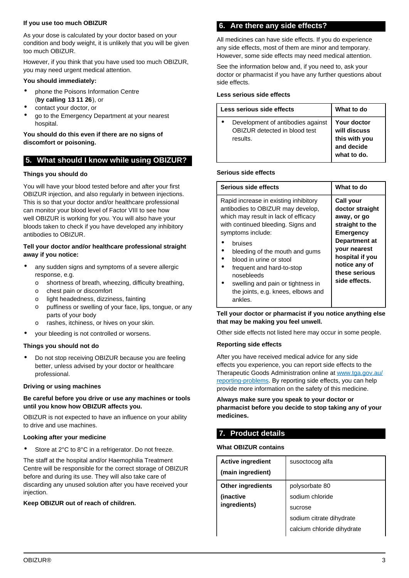#### **If you use too much OBIZUR**

As your dose is calculated by your doctor based on your condition and body weight, it is unlikely that you will be given too much OBIZUR.

However, if you think that you have used too much OBIZUR, you may need urgent medical attention.

#### **You should immediately:**

- phone the Poisons Information Centre (**by calling 13 11 26**), or
- contact your doctor, or
- go to the Emergency Department at your nearest hospital.

#### **You should do this even if there are no signs of discomfort or poisoning.**

# <span id="page-2-0"></span>**5. What should I know while using OBIZUR?**

### **Things you should do**

You will have your blood tested before and after your first OBIZUR injection, and also regularly in between injections. This is so that your doctor and/or healthcare professional can monitor your blood level of Factor VIII to see how well OBIZUR is working for you. You will also have your bloods taken to check if you have developed any inhibitory antibodies to OBIZUR.

#### **Tell your doctor and/or healthcare professional straight away if you notice:**

- any sudden signs and symptoms of a severe allergic response, e.g.
	- o shortness of breath, wheezing, difficulty breathing,
	- o chest pain or discomfort
	- o light headedness, dizziness, fainting
	- o puffiness or swelling of your face, lips, tongue, or any parts of your body
	- rashes, itchiness, or hives on your skin.
- your bleeding is not controlled or worsens.

## **Things you should not do**

• Do not stop receiving OBIZUR because you are feeling better, unless advised by your doctor or healthcare professional.

#### **Driving or using machines**

### **Be careful before you drive or use any machines or tools until you know how OBIZUR affects you.**

OBIZUR is not expected to have an influence on your ability to drive and use machines.

#### **Looking after your medicine**

Store at 2°C to 8°C in a refrigerator. Do not freeze.

The staff at the hospital and/or Haemophilia Treatment Centre will be responsible for the correct storage of OBIZUR before and during its use. They will also take care of discarding any unused solution after you have received your injection.

#### <span id="page-2-1"></span>**Keep OBIZUR out of reach of children.**

## **6. Are there any side effects?**

All medicines can have side effects. If you do experience any side effects, most of them are minor and temporary. However, some side effects may need medical attention.

See the information below and, if you need to, ask your doctor or pharmacist if you have any further questions about side effects.

## **Less serious side effects**

| Less serious side effects |                                                                                | What to do                                                                       |
|---------------------------|--------------------------------------------------------------------------------|----------------------------------------------------------------------------------|
|                           | Development of antibodies against<br>OBIZUR detected in blood test<br>results. | <b>Your doctor</b><br>will discuss<br>this with you<br>and decide<br>what to do. |

#### **Serious side effects**

| Serious side effects                                                                                                                                                                                                                                                                                                                                                                   | What to do                                                                                                                                                                                              |
|----------------------------------------------------------------------------------------------------------------------------------------------------------------------------------------------------------------------------------------------------------------------------------------------------------------------------------------------------------------------------------------|---------------------------------------------------------------------------------------------------------------------------------------------------------------------------------------------------------|
| Rapid increase in existing inhibitory<br>antibodies to OBIZUR may develop,<br>which may result in lack of efficacy<br>with continued bleeding. Signs and<br>symptoms include:<br>bruises<br>bleeding of the mouth and gums<br>blood in urine or stool<br>frequent and hard-to-stop<br>nosebleeds<br>swelling and pain or tightness in<br>the joints, e.g. knees, elbows and<br>ankles. | <b>Call your</b><br>doctor straight<br>away, or go<br>straight to the<br><b>Emergency</b><br>Department at<br><b>your nearest</b><br>hospital if you<br>notice any of<br>these serious<br>side effects. |

#### **Tell your doctor or pharmacist if you notice anything else that may be making you feel unwell.**

Other side effects not listed here may occur in some people.

#### **Reporting side effects**

After you have received medical advice for any side effects you experience, you can report side effects to the Therapeutic Goods Administration online at [www.tga.gov.au/](http://www.tga.gov.au/reporting-problems) [reporting-problems](http://www.tga.gov.au/reporting-problems). By reporting side effects, you can help provide more information on the safety of this medicine.

#### **Always make sure you speak to your doctor or pharmacist before you decide to stop taking any of your medicines.**

## <span id="page-2-2"></span>**7. Product details**

#### **What OBIZUR contains**

| susoctocog alfa            |
|----------------------------|
| polysorbate 80             |
| sodium chloride            |
| sucrose                    |
| sodium citrate dihydrate   |
| calcium chloride dihydrate |
|                            |